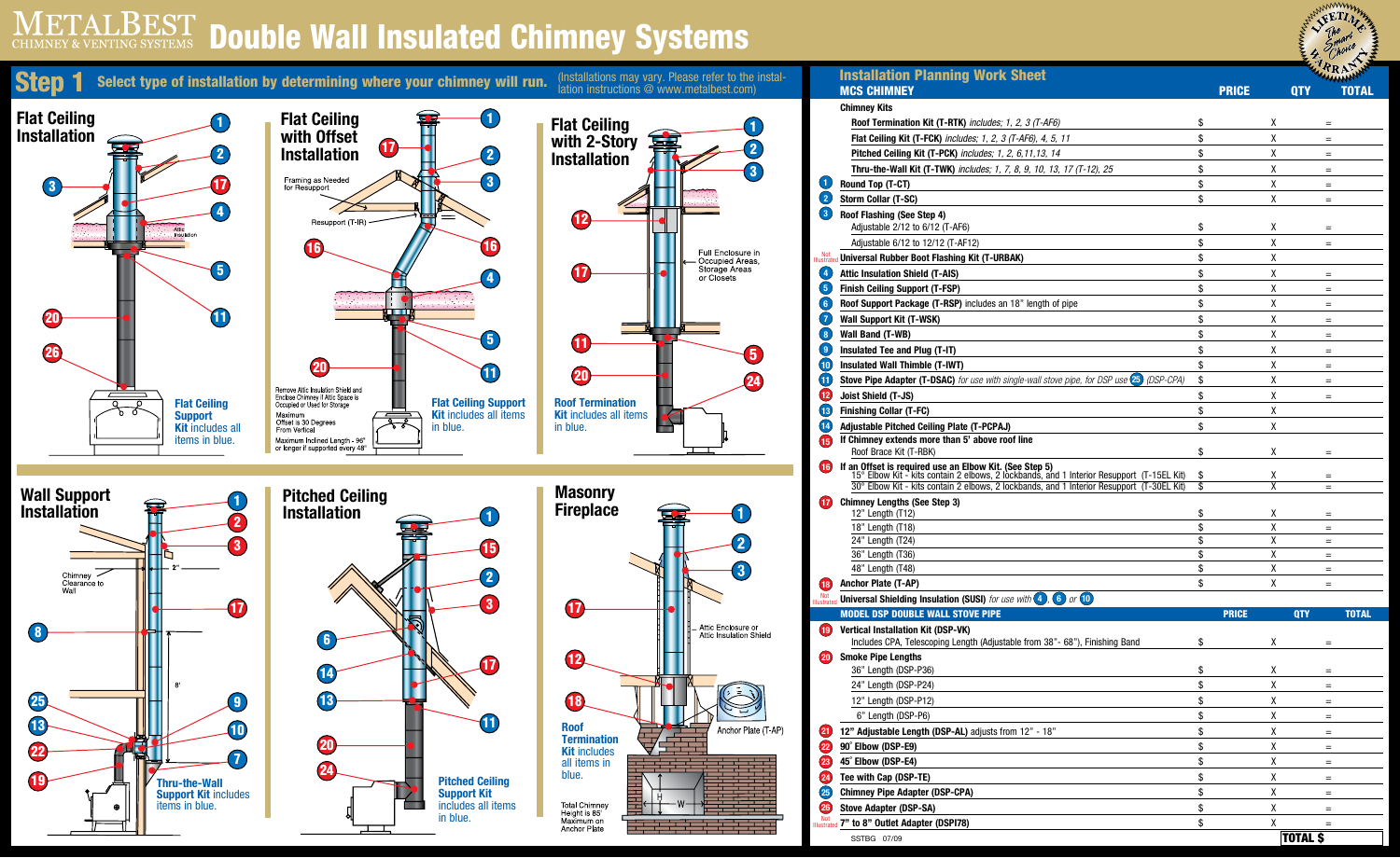## ETALBEST Double Wall Insulated Chimney Systems **CHIMNEY & VENTING SYSTEMS**